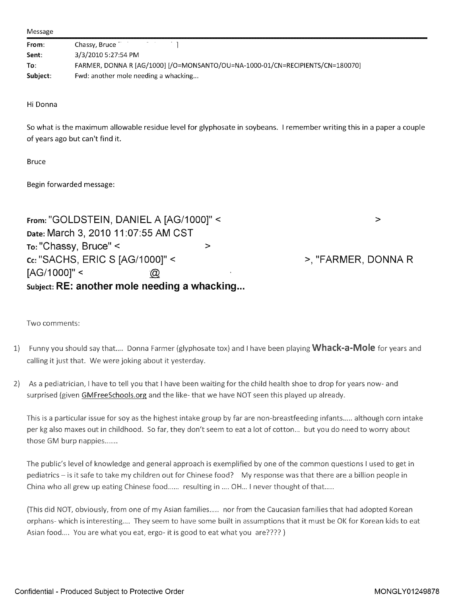Message

| From:    | Chassy, Bruce                                                                 |
|----------|-------------------------------------------------------------------------------|
| Sent:    | 3/3/2010 5:27:54 PM                                                           |
| To:      | FARMER, DONNA R [AG/1000] [/O=MONSANTO/OU=NA-1000-01/CN=RECIPIENTS/CN=180070] |
| Subject: | Fwd: another mole needing a whacking                                          |

Hi Donna

So what is the maximum allowable residue level for glyphosate in soybeans. <sup>I</sup> remember writing this in <sup>a</sup> paper <sup>a</sup> couple of years ago but can't find it.

Bruce

Begin forwarded message:

From : "GOLDSTEIN, DANIEL A [AG/1000]" < > Date: March 3, 2010 11:07:55 AM CST To: "Chassy, Bruce" <  $\sim$ Cc: "SACHS, ERIC S [AG/1000]'° <sup>&</sup>lt; >, "FARMER, DONNA R [AG/1000]" <  $\varpi$ subject: RE: another mole needing a whacking...

Two comments

- 1) Funny you should say that.... Donna Farmer (glyphosate tox) and I have been playing **Whack-a-Mole** for years and calling it just that. We were joking about it yesterday.
- As a pediatrician, <sup>I</sup> have to tell you that <sup>I</sup> have been waiting for the child health shoe to drop for years now- and surprised (given GMFreeSchools.org and the like- that we have NOT seen this played up already.

This is a particular issue for soy as the highest intake group by far are non-breastfeeding infants..... although corn intake per kg also maxes out in childhood. So far, they don't seem to eat a lot of cotton... but you do need to worry about those GM burp nappies.......

The public's level of knowledge and general approach is exemplified by one of the common questions I used to get in pediatrics - is it safe to take my children out for Chinese food? My response was that there are a billion people in China who all grew up eating Chinese food...... resulting in .... CH... <sup>I</sup> never thought of that.....

(This did NOT, obviously, from one of my Asian families..... nor from the Caucasian families that had adopted Korean orphans- which is interesting.... They seem to have some built in assumptions that it must be CK for Korean kids to eat Asian food.... You are what you eat, ergo- it is good to eat what you are???? )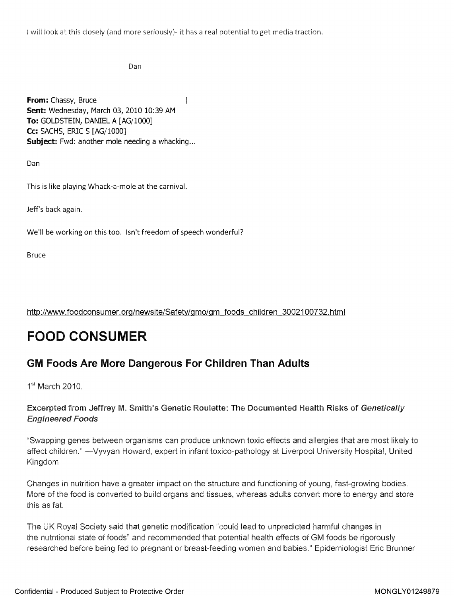<sup>I</sup> will look at this closely (and more seriously). it has a real potential to get media traction.

Dan

From: Chassy, Bruce 1 Sent: Wednesday, March 03, 2010 10:39 AM To: GOLDSTEIN, DANIEL A [AG/1000] Cc: SACHS, ERIC S [AG/1000] Subject: Fwd: another mole needing a whacking...

Dan

This is like playing Whack-a-mole at the carnival.

Jeff's back again.

We'll be working on this too. Isn't freedom of speech wonderful?

Bruce

http://wvwv.foodconsumer. org/newsite/Safety/gmo/gm foods children 3002100732.html

# FOOD CONSUMER

# Foods Are More Dangerous For Children Than Adults

 $1<sup>st</sup>$  March 2010.

# Excerpted from Jeffrey M. Smith's Genetic Roulette: The Documented Health Risks of Genetically Engineered Foods

"Swapping genes between organisms can produce unknown toxic effects and allergies that are most likely to affect children." -Vyvyan Howard, expert in infant toxico-pathology at Liverpool University Hospital, United Kingdom

Changes in nutrition have a greater impact on the structure and functioning of young, fast-growing bodies. More of the food is converted to build organs and tissues, whereas adults convert more to energy and store this as fat.

The UK Royal Society said that genetic modification "could lead to unpredicted harmful changes in the nutritional state of foods" and recommended that potential health effects of GM foods be rigorously researched before being fed to pregnant or breast-feeding women and babies." Epidemiologist Eric Brunner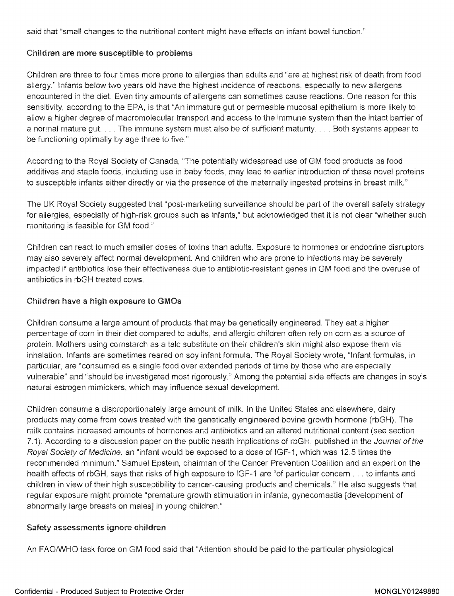said that "small changes to the nutritional content might have effects on infant bowel function."

#### Children are more susceptible to problems

Children are three to four times more prone to allergies than adults and "are at highest risk of death from food allergy. " Infants below two years old have the highest incidence of reactions , especially to new allergens encountered in the diet . Even tiny amounts of allergens can sometimes cause reactions . One reason for this sensitivity, according to the EPA, is that "An immature gut or permeable mucosal epithelium is more likely to allow a higher degree of macromolecular transport and access to the immune system than the intact barrier of a normal mature gut. . . . The immune system must also be of sufficient maturity . . . . Both systems appear to be functioning optimally by age three to five."

According to the Royal Society of Canada, "The potentially widespread use of GM food products as food additives and staple foods, including use in baby foods, may lead to earlier introduction of these novel proteins to susceptible infants either directly or via the presence of the maternally ingested proteins in breast milk."

The UK Royal Society suggested that "post-marketing surveillance should be part of the overall safety strategy for allergies, especially of high-risk groups such as infants," but acknowledged that it is not clear "whether such monitoring is feasible for GM food."

Children can react to much smaller doses of toxins than adults . Exposure to hormones or endocrine disruptors may also severely affect normal development. And children who are prone to infections may be severely impacted if antibiotics lose their effectiveness due to antibiotic - resistant genes in GM food and the overuse of antibiotics in rbGH treated cows.

# Children have <sup>a</sup> high exposure to GMOs

Children consume a large amount of products that may be genetically engineered. They eat a higher percentage of corn in their diet compared to adults, and allergic children often rely on corn as a source of protein. Mothers using cornstarch as a talc substitute on their children's skin might also expose them via inhalation. Infants are sometimes reared on soy infant formula. The Royal Society wrote, "Infant formulas, in particular, are "consumed as a single food over extended periods of time by those who are especially vulnerable" and "should be investigated most rigorously ." Among the potential side effects are changes in soy's natural estrogen mimickers, which may influence sexual development.

Children consume a disproportionately large amount of milk . In the United States and elsewhere, dairy products may come from cows treated with the genetically engineered bovine growth hormone (rbGH). The milk contains increased amounts of hormones and antibiotics and an altered nutritional content (see section 7.1). According to a discussion paper on the public health implications of rbGH, published in the Journal of the Royal Society of Medicine, an "infant would be exposed to a dose of IGF-1, which was 12.5 times the recommended minimum." Samuel Epstein, chairman of the Cancer Prevention Coalition and an expert on the health effects of rbGH, says that risks of high exposure to IGF-1 are "of particular concern . . . to infants and children in view of their high susceptibility to cancer-causing products and chemicals." He also suggests that regular exposure might promote "premature growth stimulation in infants, gynecomastia [development of abnormally large breasts on males] in young children."

# Safety assessments ignore children

An FAOA/VHO task force on GM food said that "Attention should be paid to the particular physiological